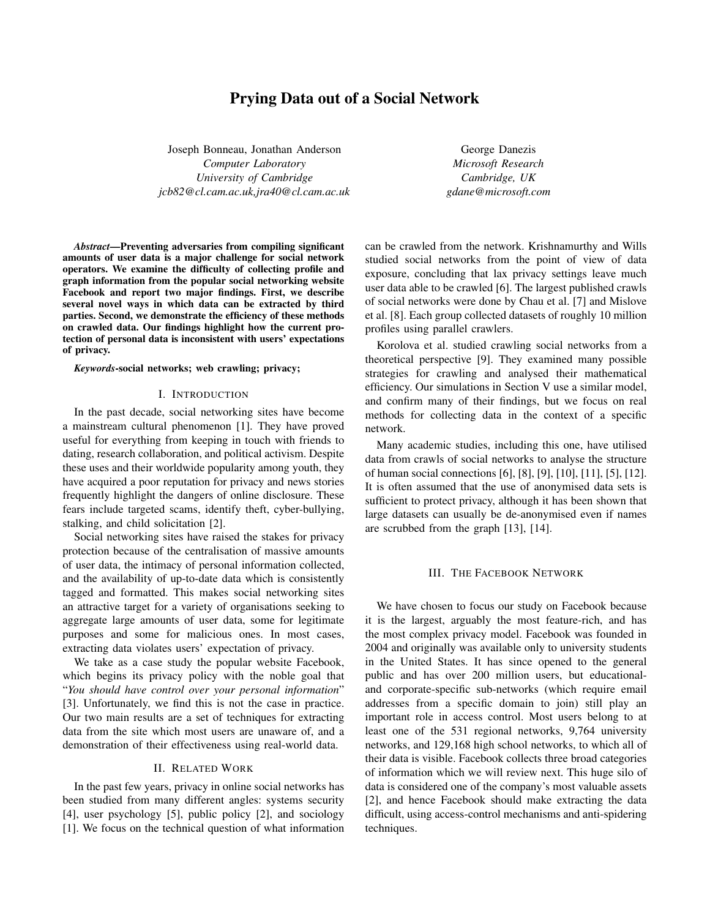# Prying Data out of a Social Network

Joseph Bonneau, Jonathan Anderson *Computer Laboratory University of Cambridge [jcb82@cl.cam.ac.uk,](jcb82@cl.cam.ac.uk)<jra40@cl.cam.ac.uk>*

George Danezis *Microsoft Research Cambridge, UK <gdane@microsoft.com>*

*Abstract*—Preventing adversaries from compiling significant amounts of user data is a major challenge for social network operators. We examine the difficulty of collecting profile and graph information from the popular social networking website Facebook and report two major findings. First, we describe several novel ways in which data can be extracted by third parties. Second, we demonstrate the efficiency of these methods on crawled data. Our findings highlight how the current protection of personal data is inconsistent with users' expectations of privacy.

#### *Keywords*-social networks; web crawling; privacy;

#### I. INTRODUCTION

In the past decade, social networking sites have become a mainstream cultural phenomenon [\[1\]](#page-5-0). They have proved useful for everything from keeping in touch with friends to dating, research collaboration, and political activism. Despite these uses and their worldwide popularity among youth, they have acquired a poor reputation for privacy and news stories frequently highlight the dangers of online disclosure. These fears include targeted scams, identify theft, cyber-bullying, stalking, and child solicitation [\[2\]](#page-5-1).

Social networking sites have raised the stakes for privacy protection because of the centralisation of massive amounts of user data, the intimacy of personal information collected, and the availability of up-to-date data which is consistently tagged and formatted. This makes social networking sites an attractive target for a variety of organisations seeking to aggregate large amounts of user data, some for legitimate purposes and some for malicious ones. In most cases, extracting data violates users' expectation of privacy.

We take as a case study the popular website Facebook, which begins its privacy policy with the noble goal that "*You should have control over your personal information*" [\[3\]](#page-5-2). Unfortunately, we find this is not the case in practice. Our two main results are a set of techniques for extracting data from the site which most users are unaware of, and a demonstration of their effectiveness using real-world data.

## II. RELATED WORK

In the past few years, privacy in online social networks has been studied from many different angles: systems security [\[4\]](#page-5-3), user psychology [\[5\]](#page-5-4), public policy [\[2\]](#page-5-1), and sociology [\[1\]](#page-5-0). We focus on the technical question of what information can be crawled from the network. Krishnamurthy and Wills studied social networks from the point of view of data exposure, concluding that lax privacy settings leave much user data able to be crawled [\[6\]](#page-5-5). The largest published crawls of social networks were done by Chau et al. [\[7\]](#page-5-6) and Mislove et al. [\[8\]](#page-5-7). Each group collected datasets of roughly 10 million profiles using parallel crawlers.

Korolova et al. studied crawling social networks from a theoretical perspective [\[9\]](#page-5-8). They examined many possible strategies for crawling and analysed their mathematical efficiency. Our simulations in Section [V](#page-3-0) use a similar model, and confirm many of their findings, but we focus on real methods for collecting data in the context of a specific network.

Many academic studies, including this one, have utilised data from crawls of social networks to analyse the structure of human social connections [\[6\]](#page-5-5), [\[8\]](#page-5-7), [\[9\]](#page-5-8), [\[10\]](#page-5-9), [\[11\]](#page-5-10), [\[5\]](#page-5-4), [\[12\]](#page-5-11). It is often assumed that the use of anonymised data sets is sufficient to protect privacy, although it has been shown that large datasets can usually be de-anonymised even if names are scrubbed from the graph [\[13\]](#page-5-12), [\[14\]](#page-5-13).

#### III. THE FACEBOOK NETWORK

We have chosen to focus our study on Facebook because it is the largest, arguably the most feature-rich, and has the most complex privacy model. Facebook was founded in 2004 and originally was available only to university students in the United States. It has since opened to the general public and has over 200 million users, but educationaland corporate-specific sub-networks (which require email addresses from a specific domain to join) still play an important role in access control. Most users belong to at least one of the 531 regional networks, 9,764 university networks, and 129,168 high school networks, to which all of their data is visible. Facebook collects three broad categories of information which we will review next. This huge silo of data is considered one of the company's most valuable assets [\[2\]](#page-5-1), and hence Facebook should make extracting the data difficult, using access-control mechanisms and anti-spidering techniques.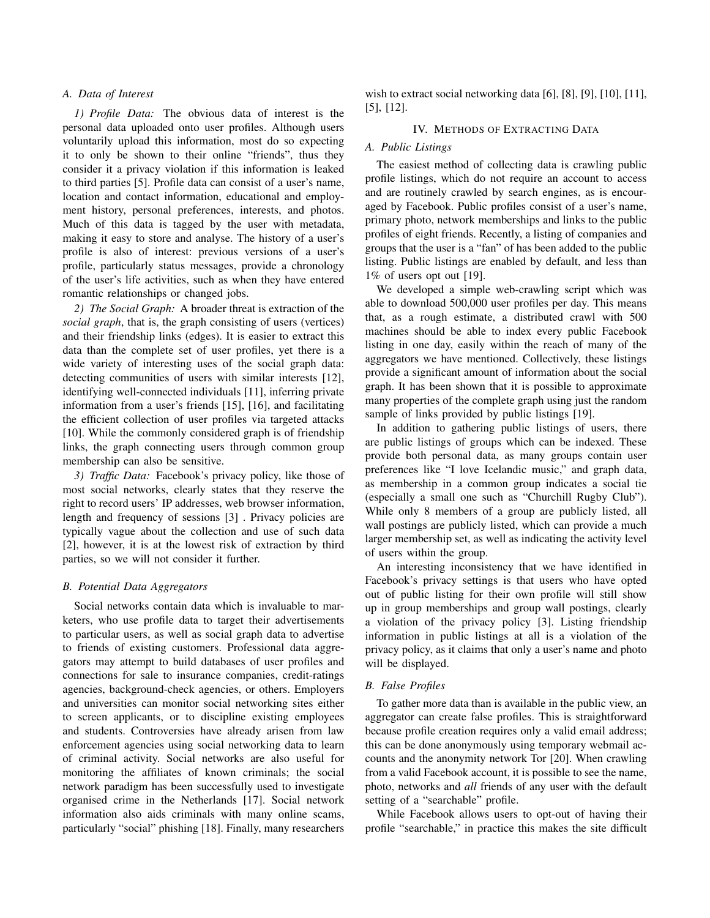# *A. Data of Interest*

*1) Profile Data:* The obvious data of interest is the personal data uploaded onto user profiles. Although users voluntarily upload this information, most do so expecting it to only be shown to their online "friends", thus they consider it a privacy violation if this information is leaked to third parties [\[5\]](#page-5-4). Profile data can consist of a user's name, location and contact information, educational and employment history, personal preferences, interests, and photos. Much of this data is tagged by the user with metadata, making it easy to store and analyse. The history of a user's profile is also of interest: previous versions of a user's profile, particularly status messages, provide a chronology of the user's life activities, such as when they have entered romantic relationships or changed jobs.

*2) The Social Graph:* A broader threat is extraction of the *social graph*, that is, the graph consisting of users (vertices) and their friendship links (edges). It is easier to extract this data than the complete set of user profiles, yet there is a wide variety of interesting uses of the social graph data: detecting communities of users with similar interests [\[12\]](#page-5-11), identifying well-connected individuals [\[11\]](#page-5-10), inferring private information from a user's friends [\[15\]](#page-5-14), [\[16\]](#page-5-15), and facilitating the efficient collection of user profiles via targeted attacks [\[10\]](#page-5-9). While the commonly considered graph is of friendship links, the graph connecting users through common group membership can also be sensitive.

*3) Traffic Data:* Facebook's privacy policy, like those of most social networks, clearly states that they reserve the right to record users' IP addresses, web browser information, length and frequency of sessions [\[3\]](#page-5-2) . Privacy policies are typically vague about the collection and use of such data [\[2\]](#page-5-1), however, it is at the lowest risk of extraction by third parties, so we will not consider it further.

#### <span id="page-1-0"></span>*B. Potential Data Aggregators*

Social networks contain data which is invaluable to marketers, who use profile data to target their advertisements to particular users, as well as social graph data to advertise to friends of existing customers. Professional data aggregators may attempt to build databases of user profiles and connections for sale to insurance companies, credit-ratings agencies, background-check agencies, or others. Employers and universities can monitor social networking sites either to screen applicants, or to discipline existing employees and students. Controversies have already arisen from law enforcement agencies using social networking data to learn of criminal activity. Social networks are also useful for monitoring the affiliates of known criminals; the social network paradigm has been successfully used to investigate organised crime in the Netherlands [\[17\]](#page-5-16). Social network information also aids criminals with many online scams, particularly "social" phishing [\[18\]](#page-5-17). Finally, many researchers wish to extract social networking data [\[6\]](#page-5-5), [\[8\]](#page-5-7), [\[9\]](#page-5-8), [\[10\]](#page-5-9), [\[11\]](#page-5-10), [\[5\]](#page-5-4), [\[12\]](#page-5-11).

## IV. METHODS OF EXTRACTING DATA

# *A. Public Listings*

The easiest method of collecting data is crawling public profile listings, which do not require an account to access and are routinely crawled by search engines, as is encouraged by Facebook. Public profiles consist of a user's name, primary photo, network memberships and links to the public profiles of eight friends. Recently, a listing of companies and groups that the user is a "fan" of has been added to the public listing. Public listings are enabled by default, and less than 1% of users opt out [\[19\]](#page-5-18).

We developed a simple web-crawling script which was able to download 500,000 user profiles per day. This means that, as a rough estimate, a distributed crawl with 500 machines should be able to index every public Facebook listing in one day, easily within the reach of many of the aggregators we have mentioned. Collectively, these listings provide a significant amount of information about the social graph. It has been shown that it is possible to approximate many properties of the complete graph using just the random sample of links provided by public listings [\[19\]](#page-5-18).

In addition to gathering public listings of users, there are public listings of groups which can be indexed. These provide both personal data, as many groups contain user preferences like "I love Icelandic music," and graph data, as membership in a common group indicates a social tie (especially a small one such as "Churchill Rugby Club"). While only 8 members of a group are publicly listed, all wall postings are publicly listed, which can provide a much larger membership set, as well as indicating the activity level of users within the group.

An interesting inconsistency that we have identified in Facebook's privacy settings is that users who have opted out of public listing for their own profile will still show up in group memberships and group wall postings, clearly a violation of the privacy policy [\[3\]](#page-5-2). Listing friendship information in public listings at all is a violation of the privacy policy, as it claims that only a user's name and photo will be displayed.

## *B. False Profiles*

To gather more data than is available in the public view, an aggregator can create false profiles. This is straightforward because profile creation requires only a valid email address; this can be done anonymously using temporary webmail accounts and the anonymity network Tor [\[20\]](#page-5-19). When crawling from a valid Facebook account, it is possible to see the name, photo, networks and *all* friends of any user with the default setting of a "searchable" profile.

While Facebook allows users to opt-out of having their profile "searchable," in practice this makes the site difficult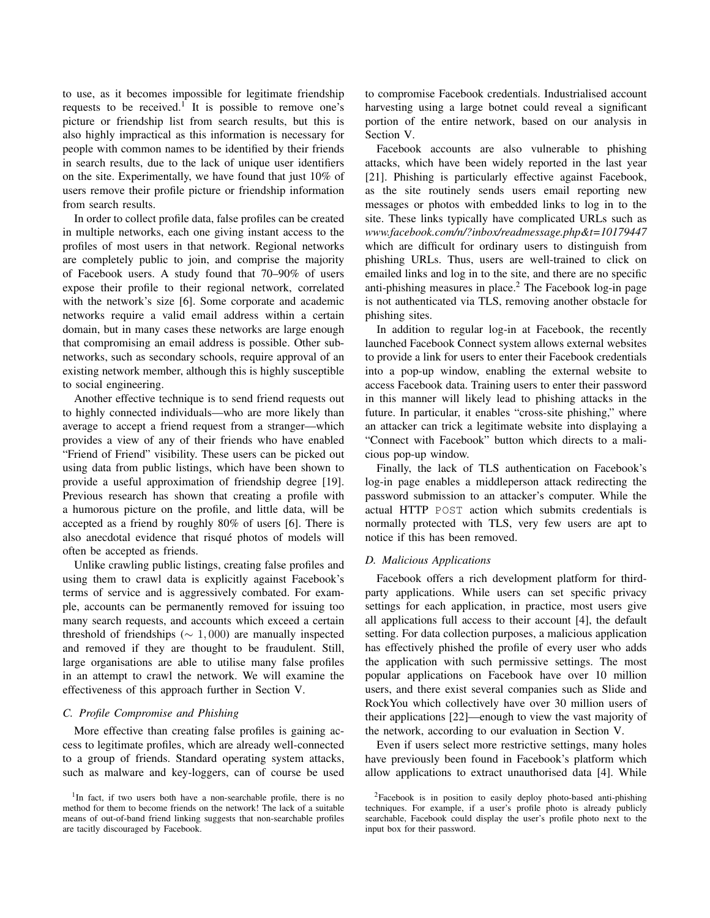to use, as it becomes impossible for legitimate friendship requests to be received.<sup>[1](#page-2-0)</sup> It is possible to remove one's picture or friendship list from search results, but this is also highly impractical as this information is necessary for people with common names to be identified by their friends in search results, due to the lack of unique user identifiers on the site. Experimentally, we have found that just 10% of users remove their profile picture or friendship information from search results.

In order to collect profile data, false profiles can be created in multiple networks, each one giving instant access to the profiles of most users in that network. Regional networks are completely public to join, and comprise the majority of Facebook users. A study found that 70–90% of users expose their profile to their regional network, correlated with the network's size [\[6\]](#page-5-5). Some corporate and academic networks require a valid email address within a certain domain, but in many cases these networks are large enough that compromising an email address is possible. Other subnetworks, such as secondary schools, require approval of an existing network member, although this is highly susceptible to social engineering.

Another effective technique is to send friend requests out to highly connected individuals—who are more likely than average to accept a friend request from a stranger—which provides a view of any of their friends who have enabled "Friend of Friend" visibility. These users can be picked out using data from public listings, which have been shown to provide a useful approximation of friendship degree [\[19\]](#page-5-18). Previous research has shown that creating a profile with a humorous picture on the profile, and little data, will be accepted as a friend by roughly 80% of users [\[6\]](#page-5-5). There is also anecdotal evidence that risqué photos of models will often be accepted as friends.

Unlike crawling public listings, creating false profiles and using them to crawl data is explicitly against Facebook's terms of service and is aggressively combated. For example, accounts can be permanently removed for issuing too many search requests, and accounts which exceed a certain threshold of friendships ( $\sim 1,000$ ) are manually inspected and removed if they are thought to be fraudulent. Still, large organisations are able to utilise many false profiles in an attempt to crawl the network. We will examine the effectiveness of this approach further in Section [V.](#page-3-0)

## <span id="page-2-2"></span>*C. Profile Compromise and Phishing*

More effective than creating false profiles is gaining access to legitimate profiles, which are already well-connected to a group of friends. Standard operating system attacks, such as malware and key-loggers, can of course be used to compromise Facebook credentials. Industrialised account harvesting using a large botnet could reveal a significant portion of the entire network, based on our analysis in Section [V.](#page-3-0)

Facebook accounts are also vulnerable to phishing attacks, which have been widely reported in the last year [\[21\]](#page-5-20). Phishing is particularly effective against Facebook, as the site routinely sends users email reporting new messages or photos with embedded links to log in to the site. These links typically have complicated URLs such as *www.facebook.com/n/?inbox/readmessage.php&t=10179447* which are difficult for ordinary users to distinguish from phishing URLs. Thus, users are well-trained to click on emailed links and log in to the site, and there are no specific anti-phishing measures in place.<sup>[2](#page-2-1)</sup> The Facebook log-in page is not authenticated via TLS, removing another obstacle for phishing sites.

In addition to regular log-in at Facebook, the recently launched Facebook Connect system allows external websites to provide a link for users to enter their Facebook credentials into a pop-up window, enabling the external website to access Facebook data. Training users to enter their password in this manner will likely lead to phishing attacks in the future. In particular, it enables "cross-site phishing," where an attacker can trick a legitimate website into displaying a "Connect with Facebook" button which directs to a malicious pop-up window.

Finally, the lack of TLS authentication on Facebook's log-in page enables a middleperson attack redirecting the password submission to an attacker's computer. While the actual HTTP POST action which submits credentials is normally protected with TLS, very few users are apt to notice if this has been removed.

# *D. Malicious Applications*

Facebook offers a rich development platform for thirdparty applications. While users can set specific privacy settings for each application, in practice, most users give all applications full access to their account [\[4\]](#page-5-3), the default setting. For data collection purposes, a malicious application has effectively phished the profile of every user who adds the application with such permissive settings. The most popular applications on Facebook have over 10 million users, and there exist several companies such as Slide and RockYou which collectively have over 30 million users of their applications [\[22\]](#page-5-21)—enough to view the vast majority of the network, according to our evaluation in Section [V.](#page-3-0)

Even if users select more restrictive settings, many holes have previously been found in Facebook's platform which allow applications to extract unauthorised data [\[4\]](#page-5-3). While

<span id="page-2-0"></span><sup>&</sup>lt;sup>1</sup>In fact, if two users both have a non-searchable profile, there is no method for them to become friends on the network! The lack of a suitable means of out-of-band friend linking suggests that non-searchable profiles are tacitly discouraged by Facebook.

<span id="page-2-1"></span><sup>2</sup>Facebook is in position to easily deploy photo-based anti-phishing techniques. For example, if a user's profile photo is already publicly searchable, Facebook could display the user's profile photo next to the input box for their password.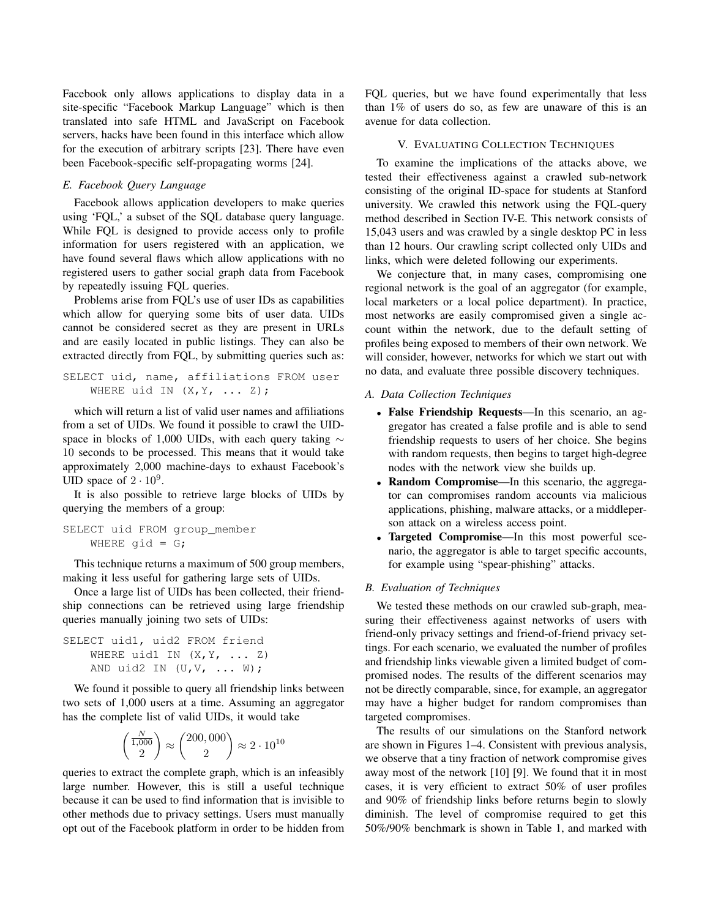Facebook only allows applications to display data in a site-specific "Facebook Markup Language" which is then translated into safe HTML and JavaScript on Facebook servers, hacks have been found in this interface which allow for the execution of arbitrary scripts [\[23\]](#page-5-22). There have even been Facebook-specific self-propagating worms [\[24\]](#page-5-23).

# <span id="page-3-1"></span>*E. Facebook Query Language*

Facebook allows application developers to make queries using 'FQL,' a subset of the SQL database query language. While FQL is designed to provide access only to profile information for users registered with an application, we have found several flaws which allow applications with no registered users to gather social graph data from Facebook by repeatedly issuing FQL queries.

Problems arise from FQL's use of user IDs as capabilities which allow for querying some bits of user data. UIDs cannot be considered secret as they are present in URLs and are easily located in public listings. They can also be extracted directly from FQL, by submitting queries such as:

```
SELECT uid, name, affiliations FROM user
 WHERE uid IN (X, Y, \ldots, Z);
```
which will return a list of valid user names and affiliations from a set of UIDs. We found it possible to crawl the UIDspace in blocks of 1,000 UIDs, with each query taking ∼ 10 seconds to be processed. This means that it would take approximately 2,000 machine-days to exhaust Facebook's UID space of  $2 \cdot 10^9$ .

It is also possible to retrieve large blocks of UIDs by querying the members of a group:

```
SELECT uid FROM group_member
WHERE qid = G;
```
This technique returns a maximum of 500 group members, making it less useful for gathering large sets of UIDs.

Once a large list of UIDs has been collected, their friendship connections can be retrieved using large friendship queries manually joining two sets of UIDs:

```
SELECT uid1, uid2 FROM friend
 WHERE uid1 IN (X, Y, \ldots Z)AND uid2 IN (U, V, \ldots W);
```
We found it possible to query all friendship links between two sets of 1,000 users at a time. Assuming an aggregator has the complete list of valid UIDs, it would take

$$
\left(\frac{\frac{N}{1,000}}{2}\right) \approx \left(\frac{200,000}{2}\right) \approx 2 \cdot 10^{10}
$$

queries to extract the complete graph, which is an infeasibly large number. However, this is still a useful technique because it can be used to find information that is invisible to other methods due to privacy settings. Users must manually opt out of the Facebook platform in order to be hidden from FQL queries, but we have found experimentally that less than 1% of users do so, as few are unaware of this is an avenue for data collection.

# V. EVALUATING COLLECTION TECHNIQUES

<span id="page-3-0"></span>To examine the implications of the attacks above, we tested their effectiveness against a crawled sub-network consisting of the original ID-space for students at Stanford university. We crawled this network using the FQL-query method described in Section [IV-E.](#page-3-1) This network consists of 15,043 users and was crawled by a single desktop PC in less than 12 hours. Our crawling script collected only UIDs and links, which were deleted following our experiments.

We conjecture that, in many cases, compromising one regional network is the goal of an aggregator (for example, local marketers or a local police department). In practice, most networks are easily compromised given a single account within the network, due to the default setting of profiles being exposed to members of their own network. We will consider, however, networks for which we start out with no data, and evaluate three possible discovery techniques.

#### *A. Data Collection Techniques*

- False Friendship Requests—In this scenario, an aggregator has created a false profile and is able to send friendship requests to users of her choice. She begins with random requests, then begins to target high-degree nodes with the network view she builds up.
- Random Compromise—In this scenario, the aggregator can compromises random accounts via malicious applications, phishing, malware attacks, or a middleperson attack on a wireless access point.
- Targeted Compromise—In this most powerful scenario, the aggregator is able to target specific accounts, for example using "spear-phishing" attacks.

# *B. Evaluation of Techniques*

We tested these methods on our crawled sub-graph, measuring their effectiveness against networks of users with friend-only privacy settings and friend-of-friend privacy settings. For each scenario, we evaluated the number of profiles and friendship links viewable given a limited budget of compromised nodes. The results of the different scenarios may not be directly comparable, since, for example, an aggregator may have a higher budget for random compromises than targeted compromises.

The results of our simulations on the Stanford network are shown in Figures 1–4. Consistent with previous analysis, we observe that a tiny fraction of network compromise gives away most of the network [\[10\]](#page-5-9) [\[9\]](#page-5-8). We found that it in most cases, it is very efficient to extract 50% of user profiles and 90% of friendship links before returns begin to slowly diminish. The level of compromise required to get this 50%/90% benchmark is shown in Table 1, and marked with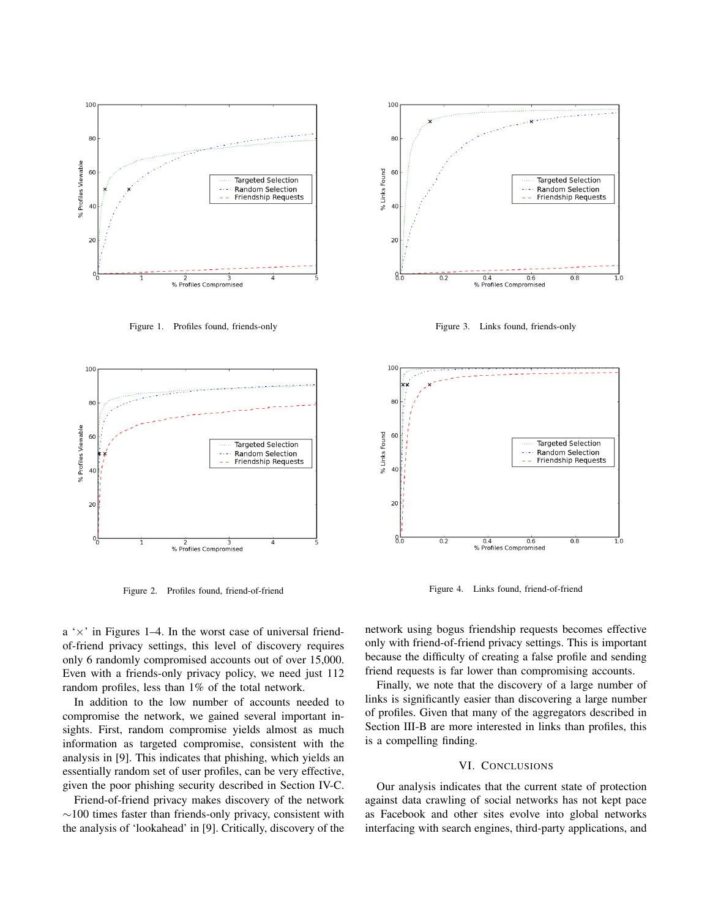

Figure 1. Profiles found, friends-only



Figure 2. Profiles found, friend-of-friend



Figure 3. Links found, friends-only



Figure 4. Links found, friend-of-friend

 $a' \times'$  in Figures 1–4. In the worst case of universal friendof-friend privacy settings, this level of discovery requires only 6 randomly compromised accounts out of over 15,000. Even with a friends-only privacy policy, we need just 112 random profiles, less than 1% of the total network.

In addition to the low number of accounts needed to compromise the network, we gained several important insights. First, random compromise yields almost as much information as targeted compromise, consistent with the analysis in [\[9\]](#page-5-8). This indicates that phishing, which yields an essentially random set of user profiles, can be very effective, given the poor phishing security described in Section [IV-C.](#page-2-2)

Friend-of-friend privacy makes discovery of the network  $\sim$ 100 times faster than friends-only privacy, consistent with the analysis of 'lookahead' in [\[9\]](#page-5-8). Critically, discovery of the network using bogus friendship requests becomes effective only with friend-of-friend privacy settings. This is important because the difficulty of creating a false profile and sending friend requests is far lower than compromising accounts.

Finally, we note that the discovery of a large number of links is significantly easier than discovering a large number of profiles. Given that many of the aggregators described in Section [III-B](#page-1-0) are more interested in links than profiles, this is a compelling finding.

# VI. CONCLUSIONS

Our analysis indicates that the current state of protection against data crawling of social networks has not kept pace as Facebook and other sites evolve into global networks interfacing with search engines, third-party applications, and